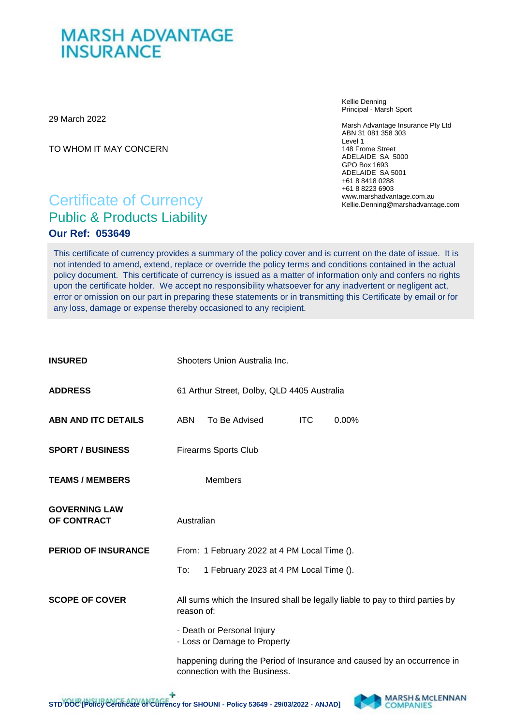## **MARSH ADVANTAGE INSURANCE**

29 March 2022

TO WHOM IT MAY CONCERN

Kellie Denning Principal - Marsh Sport

Marsh Advantage Insurance Pty Ltd ABN 31 081 358 303 Level 1 148 Frome Street ADELAIDE SA 5000 GPO Box 1693 ADELAIDE SA 5001 +61 8 8418 0288 +61 8 8223 6903 www.marshadvantage.com.au Kellie.Denning@marshadvantage.com

## Certificate of Currency Public & Products Liability **Our Ref: 053649**

This certificate of currency provides a summary of the policy cover and is current on the date of issue. It is not intended to amend, extend, replace or override the policy terms and conditions contained in the actual policy document. This certificate of currency is issued as a matter of information only and confers no rights upon the certificate holder. We accept no responsibility whatsoever for any inadvertent or negligent act, error or omission on our part in preparing these statements or in transmitting this Certificate by email or for any loss, damage or expense thereby occasioned to any recipient.

| <b>INSURED</b>                      | Shooters Union Australia Inc.                                                                            |                                        |            |       |  |  |
|-------------------------------------|----------------------------------------------------------------------------------------------------------|----------------------------------------|------------|-------|--|--|
| <b>ADDRESS</b>                      | 61 Arthur Street, Dolby, QLD 4405 Australia                                                              |                                        |            |       |  |  |
| <b>ABN AND ITC DETAILS</b>          | <b>ABN</b>                                                                                               | To Be Advised                          | <b>ITC</b> | 0.00% |  |  |
| <b>SPORT / BUSINESS</b>             | <b>Firearms Sports Club</b>                                                                              |                                        |            |       |  |  |
| <b>TEAMS / MEMBERS</b>              |                                                                                                          | <b>Members</b>                         |            |       |  |  |
| <b>GOVERNING LAW</b><br>OF CONTRACT | Australian                                                                                               |                                        |            |       |  |  |
| <b>PERIOD OF INSURANCE</b>          | From: 1 February 2022 at 4 PM Local Time ().                                                             |                                        |            |       |  |  |
|                                     | To:                                                                                                      | 1 February 2023 at 4 PM Local Time (). |            |       |  |  |
| <b>SCOPE OF COVER</b>               | All sums which the Insured shall be legally liable to pay to third parties by<br>reason of:              |                                        |            |       |  |  |
|                                     | - Death or Personal Injury<br>- Loss or Damage to Property                                               |                                        |            |       |  |  |
|                                     | happening during the Period of Insurance and caused by an occurrence in<br>connection with the Business. |                                        |            |       |  |  |

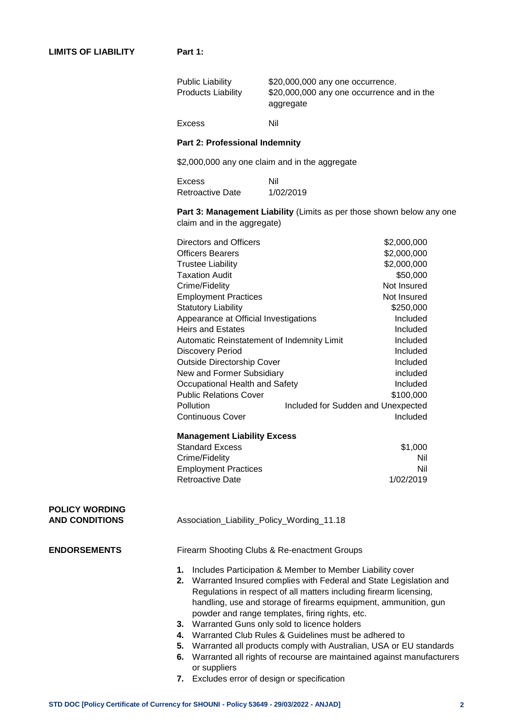|                                                | <b>Products Liability</b>                    | \$20,000,000 any one occurrence and in the<br>aggregate                                                                                                                                                                                                                                                                                                                                                                                                                                                                                                                                                                              |                                                |  |  |  |
|------------------------------------------------|----------------------------------------------|--------------------------------------------------------------------------------------------------------------------------------------------------------------------------------------------------------------------------------------------------------------------------------------------------------------------------------------------------------------------------------------------------------------------------------------------------------------------------------------------------------------------------------------------------------------------------------------------------------------------------------------|------------------------------------------------|--|--|--|
|                                                | <b>Excess</b>                                | Nil                                                                                                                                                                                                                                                                                                                                                                                                                                                                                                                                                                                                                                  |                                                |  |  |  |
|                                                |                                              | Part 2: Professional Indemnity                                                                                                                                                                                                                                                                                                                                                                                                                                                                                                                                                                                                       |                                                |  |  |  |
|                                                |                                              | \$2,000,000 any one claim and in the aggregate                                                                                                                                                                                                                                                                                                                                                                                                                                                                                                                                                                                       |                                                |  |  |  |
|                                                | <b>Excess</b>                                | Nil                                                                                                                                                                                                                                                                                                                                                                                                                                                                                                                                                                                                                                  |                                                |  |  |  |
|                                                | <b>Retroactive Date</b>                      | 1/02/2019                                                                                                                                                                                                                                                                                                                                                                                                                                                                                                                                                                                                                            |                                                |  |  |  |
|                                                | claim and in the aggregate)                  | Part 3: Management Liability (Limits as per those shown below any one                                                                                                                                                                                                                                                                                                                                                                                                                                                                                                                                                                |                                                |  |  |  |
|                                                | Directors and Officers                       |                                                                                                                                                                                                                                                                                                                                                                                                                                                                                                                                                                                                                                      | \$2,000,000                                    |  |  |  |
|                                                | <b>Officers Bearers</b>                      | \$2,000,000                                                                                                                                                                                                                                                                                                                                                                                                                                                                                                                                                                                                                          |                                                |  |  |  |
|                                                | <b>Trustee Liability</b>                     | \$2,000,000                                                                                                                                                                                                                                                                                                                                                                                                                                                                                                                                                                                                                          |                                                |  |  |  |
|                                                | <b>Taxation Audit</b>                        | \$50,000                                                                                                                                                                                                                                                                                                                                                                                                                                                                                                                                                                                                                             |                                                |  |  |  |
|                                                |                                              | Crime/Fidelity                                                                                                                                                                                                                                                                                                                                                                                                                                                                                                                                                                                                                       |                                                |  |  |  |
|                                                |                                              | <b>Employment Practices</b>                                                                                                                                                                                                                                                                                                                                                                                                                                                                                                                                                                                                          |                                                |  |  |  |
|                                                |                                              | <b>Statutory Liability</b>                                                                                                                                                                                                                                                                                                                                                                                                                                                                                                                                                                                                           |                                                |  |  |  |
|                                                |                                              | Appearance at Official Investigations                                                                                                                                                                                                                                                                                                                                                                                                                                                                                                                                                                                                |                                                |  |  |  |
|                                                |                                              | <b>Heirs and Estates</b>                                                                                                                                                                                                                                                                                                                                                                                                                                                                                                                                                                                                             |                                                |  |  |  |
|                                                |                                              | Automatic Reinstatement of Indemnity Limit                                                                                                                                                                                                                                                                                                                                                                                                                                                                                                                                                                                           |                                                |  |  |  |
|                                                | <b>Discovery Period</b>                      | Included                                                                                                                                                                                                                                                                                                                                                                                                                                                                                                                                                                                                                             |                                                |  |  |  |
|                                                | <b>Outside Directorship Cover</b>            |                                                                                                                                                                                                                                                                                                                                                                                                                                                                                                                                                                                                                                      | Included                                       |  |  |  |
|                                                | New and Former Subsidiary                    |                                                                                                                                                                                                                                                                                                                                                                                                                                                                                                                                                                                                                                      | included<br>Included                           |  |  |  |
|                                                |                                              | Occupational Health and Safety                                                                                                                                                                                                                                                                                                                                                                                                                                                                                                                                                                                                       |                                                |  |  |  |
|                                                | <b>Public Relations Cover</b>                |                                                                                                                                                                                                                                                                                                                                                                                                                                                                                                                                                                                                                                      | \$100,000                                      |  |  |  |
|                                                | Pollution<br><b>Continuous Cover</b>         |                                                                                                                                                                                                                                                                                                                                                                                                                                                                                                                                                                                                                                      | Included for Sudden and Unexpected<br>Included |  |  |  |
|                                                |                                              |                                                                                                                                                                                                                                                                                                                                                                                                                                                                                                                                                                                                                                      |                                                |  |  |  |
|                                                | <b>Management Liability Excess</b>           |                                                                                                                                                                                                                                                                                                                                                                                                                                                                                                                                                                                                                                      |                                                |  |  |  |
|                                                | <b>Standard Excess</b>                       |                                                                                                                                                                                                                                                                                                                                                                                                                                                                                                                                                                                                                                      | \$1,000                                        |  |  |  |
|                                                | Crime/Fidelity                               |                                                                                                                                                                                                                                                                                                                                                                                                                                                                                                                                                                                                                                      | Nil                                            |  |  |  |
|                                                | <b>Employment Practices</b>                  |                                                                                                                                                                                                                                                                                                                                                                                                                                                                                                                                                                                                                                      | Nil                                            |  |  |  |
|                                                | <b>Retroactive Date</b>                      |                                                                                                                                                                                                                                                                                                                                                                                                                                                                                                                                                                                                                                      | 1/02/2019                                      |  |  |  |
| <b>POLICY WORDING</b><br><b>AND CONDITIONS</b> |                                              | Association_Liability_Policy_Wording_11.18                                                                                                                                                                                                                                                                                                                                                                                                                                                                                                                                                                                           |                                                |  |  |  |
| <b>ENDORSEMENTS</b>                            | Firearm Shooting Clubs & Re-enactment Groups |                                                                                                                                                                                                                                                                                                                                                                                                                                                                                                                                                                                                                                      |                                                |  |  |  |
|                                                | 1.<br>2.<br>4.<br>5.<br>6.<br>or suppliers   | Includes Participation & Member to Member Liability cover<br>Warranted Insured complies with Federal and State Legislation and<br>Regulations in respect of all matters including firearm licensing,<br>handling, use and storage of firearms equipment, ammunition, gun<br>powder and range templates, firing rights, etc.<br>3. Warranted Guns only sold to licence holders<br>Warranted Club Rules & Guidelines must be adhered to<br>Warranted all products comply with Australian, USA or EU standards<br>Warranted all rights of recourse are maintained against manufacturers<br>7. Excludes error of design or specification |                                                |  |  |  |

Public Liability \$20,000,000 any one occurrence.